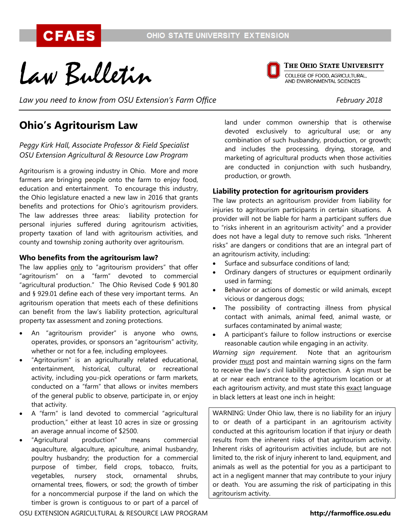Law Bulletin

*Law you need to know from OSU Extension's Farm Office February 2018*

# **Ohio's Agritourism Law**

# *Peggy Kirk Hall, Associate Professor & Field Specialist OSU Extension Agricultural & Resource Law Program*

Agritourism is a growing industry in Ohio. More and more farmers are bringing people onto the farm to enjoy food, education and entertainment. To encourage this industry, the Ohio legislature enacted a new law in 2016 that grants benefits and protections for Ohio's agritourism providers. The law addresses three areas: liability protection for personal injuries suffered during agritourism activities, property taxation of land with agritourism activities, and county and township zoning authority over agritourism.

## **Who benefits from the agritourism law?**

The law applies only to "agritourism providers" that offer "agritourism" on a "farm" devoted to commercial "agricultural production." The Ohio Revised Code § 901.80 and § 929.01 define each of these very important terms. An agritourism operation that meets each of these definitions can benefit from the law's liability protection, agricultural property tax assessment and zoning protections.

- An "agritourism provider" is anyone who owns, operates, provides, or sponsors an "agritourism" activity, whether or not for a fee, including employees.
- "Agritourism" is an agriculturally related educational, entertainment, historical, cultural, or recreational activity, including you-pick operations or farm markets, conducted on a "farm" that allows or invites members of the general public to observe, participate in, or enjoy that activity.
- A "farm" is land devoted to commercial "agricultural production," either at least 10 acres in size or grossing an average annual income of \$2500.
- "Agricultural production" means commercial aquaculture, algaculture, apiculture, animal husbandry, poultry husbandry; the production for a commercial purpose of timber, field crops, tobacco, fruits, vegetables, nursery stock, ornamental shrubs, ornamental trees, flowers, or sod; the growth of timber for a noncommercial purpose if the land on which the timber is grown is contiguous to or part of a parcel of

land under common ownership that is otherwise devoted exclusively to agricultural use; or any combination of such husbandry, production, or growth; and includes the processing, drying, storage, and marketing of agricultural products when those activities are conducted in conjunction with such husbandry, production, or growth.

# **Liability protection for agritourism providers**

The law protects an agritourism provider from liability for injuries to agritourism participants in certain situations. A provider will not be liable for harm a participant suffers due to "risks inherent in an agritourism activity" and a provider does not have a legal duty to remove such risks. "Inherent risks" are dangers or conditions that are an integral part of an agritourism activity, including:

- Surface and subsurface conditions of land;
- Ordinary dangers of structures or equipment ordinarily used in farming;
- Behavior or actions of domestic or wild animals, except vicious or dangerous dogs;
- The possibility of contracting illness from physical contact with animals, animal feed, animal waste, or surfaces contaminated by animal waste;
- A participant's failure to follow instructions or exercise reasonable caution while engaging in an activity.

*Warning sign requirement*. Note that an agritourism provider must post and maintain warning signs on the farm to receive the law's civil liability protection. A sign must be at or near each entrance to the agritourism location or at each agritourism activity, and must state this exact language in black letters at least one inch in height:

WARNING: Under Ohio law, there is no liability for an injury to or death of a participant in an agritourism activity conducted at this agritourism location if that injury or death results from the inherent risks of that agritourism activity. Inherent risks of agritourism activities include, but are not limited to, the risk of injury inherent to land, equipment, and animals as well as the potential for you as a participant to act in a negligent manner that may contribute to your injury or death. You are assuming the risk of participating in this agritourism activity.